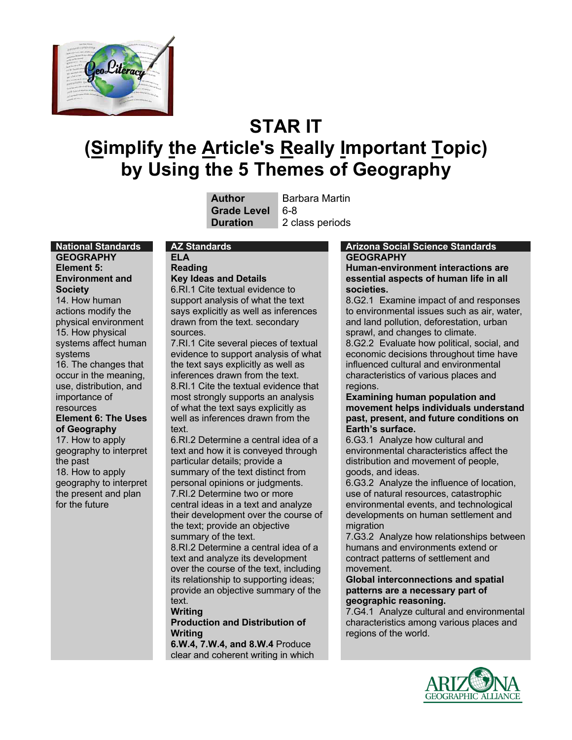

# **STAR IT (Simplify the Article's Really Important Topic) by Using the 5 Themes of Geography**

| Author            |
|-------------------|
| <b>Grade Leve</b> |
| Duration          |

**Barbara Martin Grade Level** 6-8 2 class periods

**GEOGRAPHY Element 5: Environment and Society** 14. How human actions modify the physical environment 15. How physical systems affect human systems 16. The changes that occur in the meaning, use, distribution, and importance of resources **Element 6: The Uses of Geography** 17. How to apply geography to interpret the past 18. How to apply geography to interpret

the present and plan

for the future

# **ELA**

**Reading Key Ideas and Details**

6.RI.1 Cite textual evidence to support analysis of what the text says explicitly as well as inferences drawn from the text. secondary sources.

7.RI.1 Cite several pieces of textual evidence to support analysis of what the text says explicitly as well as inferences drawn from the text. 8.RI.1 Cite the textual evidence that most strongly supports an analysis of what the text says explicitly as well as inferences drawn from the text.

6.RI.2 Determine a central idea of a text and how it is conveyed through particular details; provide a summary of the text distinct from personal opinions or judgments. 7.RI.2 Determine two or more central ideas in a text and analyze their development over the course of the text; provide an objective summary of the text. 8.RI.2 Determine a central idea of a

text and analyze its development over the course of the text, including its relationship to supporting ideas; provide an objective summary of the text.

#### **Writing**

**Production and Distribution of Writing**

**6.W.4, 7.W.4, and 8.W.4** Produce clear and coherent writing in which

#### **National Standards AZ Standards Arizona Social Science Standards GEOGRAPHY**

**Human-environment interactions are essential aspects of human life in all societies.** 

8.G2.1 Examine impact of and responses to environmental issues such as air, water, and land pollution, deforestation, urban sprawl, and changes to climate.

8.G2.2 Evaluate how political, social, and economic decisions throughout time have influenced cultural and environmental characteristics of various places and regions.

#### **Examining human population and movement helps individuals understand past, present, and future conditions on Earth's surface.**

6.G3.1 Analyze how cultural and environmental characteristics affect the distribution and movement of people, goods, and ideas.

6.G3.2 Analyze the influence of location, use of natural resources, catastrophic environmental events, and technological developments on human settlement and migration

7.G3.2 Analyze how relationships between humans and environments extend or contract patterns of settlement and movement.

#### **Global interconnections and spatial patterns are a necessary part of geographic reasoning.**

7.G4.1 Analyze cultural and environmental characteristics among various places and regions of the world.

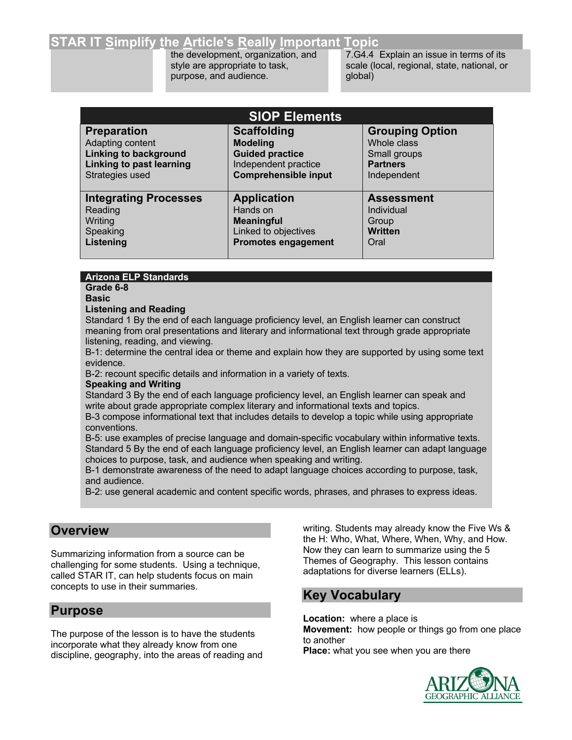## **STAR IT Simplify the Article's Really Important Topic**

the development, organization, and style are appropriate to task, purpose, and audience.

7.G4.4 Explain an issue in terms of its scale (local, regional, state, national, or global)

| <b>SIOP Elements</b>         |                             |                        |  |
|------------------------------|-----------------------------|------------------------|--|
| <b>Preparation</b>           | <b>Scaffolding</b>          | <b>Grouping Option</b> |  |
| Adapting content             | <b>Modeling</b>             | Whole class            |  |
| <b>Linking to background</b> | <b>Guided practice</b>      | Small groups           |  |
| Linking to past learning     | Independent practice        | <b>Partners</b>        |  |
| Strategies used              | <b>Comprehensible input</b> | Independent            |  |
| <b>Integrating Processes</b> | <b>Application</b>          | <b>Assessment</b>      |  |
| Reading                      | Hands on                    | Individual             |  |
| Writing                      | <b>Meaningful</b>           | Group                  |  |
| Speaking                     | Linked to objectives        | <b>Written</b>         |  |
| Listening                    | <b>Promotes engagement</b>  | Oral                   |  |

#### **Arizona ELP Standards**

**Grade 6-8 Basic**

#### **Listening and Reading**

Standard 1 By the end of each language proficiency level, an English learner can construct meaning from oral presentations and literary and informational text through grade appropriate listening, reading, and viewing.

B-1: determine the central idea or theme and explain how they are supported by using some text evidence.

B-2: recount specific details and information in a variety of texts.

#### **Speaking and Writing**

Standard 3 By the end of each language proficiency level, an English learner can speak and write about grade appropriate complex literary and informational texts and topics.

B-3 compose informational text that includes details to develop a topic while using appropriate conventions.

B-5: use examples of precise language and domain-specific vocabulary within informative texts. Standard 5 By the end of each language proficiency level, an English learner can adapt language choices to purpose, task, and audience when speaking and writing.

B-1 demonstrate awareness of the need to adapt language choices according to purpose, task, and audience.

B-2: use general academic and content specific words, phrases, and phrases to express ideas.

## **Overview**

Summarizing information from a source can be challenging for some students. Using a technique, called STAR IT, can help students focus on main concepts to use in their summaries.

## **Purpose**

The purpose of the lesson is to have the students incorporate what they already know from one discipline, geography, into the areas of reading and writing. Students may already know the Five Ws & the H: Who, What, Where, When, Why, and How. Now they can learn to summarize using the 5 Themes of Geography. This lesson contains adaptations for diverse learners (ELLs).

## **Key Vocabulary**

**Location:** where a place is **Movement:** how people or things go from one place to another **Place:** what you see when you are there

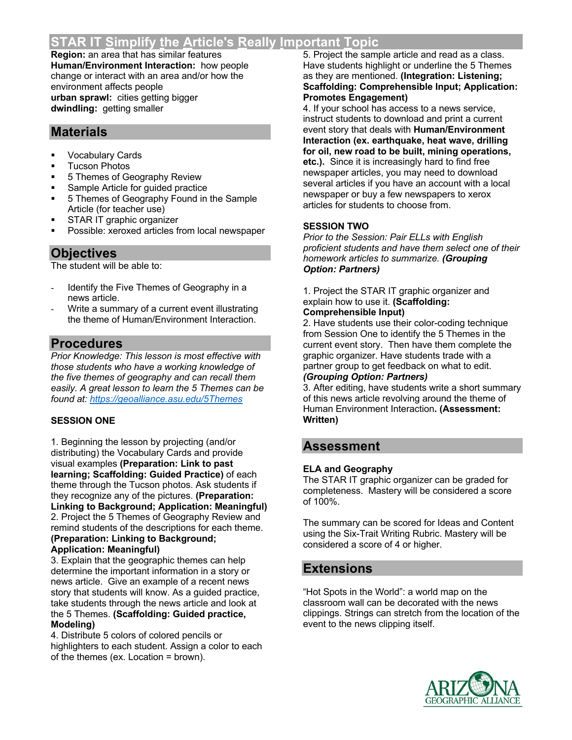## **STAR IT Simplify the Article's Really Important Topic**

**Region:** an area that has similar features **Human/Environment Interaction:** how people change or interact with an area and/or how the environment affects people **urban sprawl:** cities getting bigger **dwindling:** getting smaller

## **Materials**

- § Vocabulary Cards
- § Tucson Photos
- § 5 Themes of Geography Review
- § Sample Article for guided practice
- 5 Themes of Geography Found in the Sample Article (for teacher use)
- § STAR IT graphic organizer
- Possible: xeroxed articles from local newspaper

## **Objectives**

The student will be able to:

- Identify the Five Themes of Geography in a news article.
- Write a summary of a current event illustrating the theme of Human/Environment Interaction.

## **Procedures**

*Prior Knowledge: This lesson is most effective with those students who have a working knowledge of the five themes of geography and can recall them easily. A great lesson to learn the 5 Themes can be found at: https://geoalliance.asu.edu/5Themes*

## **SESSION ONE**

1. Beginning the lesson by projecting (and/or distributing) the Vocabulary Cards and provide visual examples **(Preparation: Link to past learning; Scaffolding: Guided Practice)** of each theme through the Tucson photos. Ask students if they recognize any of the pictures. **(Preparation: Linking to Background; Application: Meaningful)** 2. Project the 5 Themes of Geography Review and remind students of the descriptions for each theme. **(Preparation: Linking to Background;** 

#### **Application: Meaningful)**

3. Explain that the geographic themes can help determine the important information in a story or news article. Give an example of a recent news story that students will know. As a guided practice, take students through the news article and look at the 5 Themes. **(Scaffolding: Guided practice, Modeling)**

4. Distribute 5 colors of colored pencils or highlighters to each student. Assign a color to each of the themes (ex. Location = brown).

5. Project the sample article and read as a class. Have students highlight or underline the 5 Themes as they are mentioned. **(Integration: Listening; Scaffolding: Comprehensible Input; Application: Promotes Engagement)**

4. If your school has access to a news service, instruct students to download and print a current event story that deals with **Human/Environment Interaction (ex. earthquake, heat wave, drilling for oil, new road to be built, mining operations, etc.).** Since it is increasingly hard to find free newspaper articles, you may need to download several articles if you have an account with a local newspaper or buy a few newspapers to xerox articles for students to choose from.

## **SESSION TWO**

*Prior to the Session: Pair ELLs with English proficient students and have them select one of their homework articles to summarize. (Grouping Option: Partners)*

1. Project the STAR IT graphic organizer and explain how to use it. **(Scaffolding:** 

## **Comprehensible Input)**

2. Have students use their color-coding technique from Session One to identify the 5 Themes in the current event story. Then have them complete the graphic organizer. Have students trade with a partner group to get feedback on what to edit. *(Grouping Option: Partners)*

3. After editing, have students write a short summary of this news article revolving around the theme of Human Environment Interaction**. (Assessment: Written)**

## **Assessment**

## **ELA and Geography**

The STAR IT graphic organizer can be graded for completeness. Mastery will be considered a score of 100%.

The summary can be scored for Ideas and Content using the Six-Trait Writing Rubric. Mastery will be considered a score of 4 or higher.

## **Extensions**

"Hot Spots in the World": a world map on the classroom wall can be decorated with the news clippings. Strings can stretch from the location of the event to the news clipping itself.